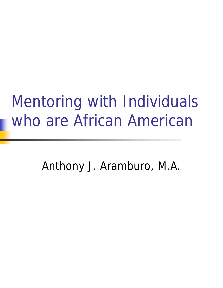### Mentoring with Individuals who are African American

Anthony J. Aramburo, M.A.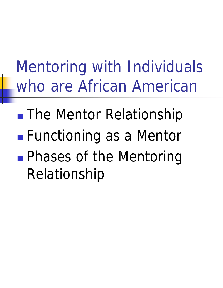### Mentoring with Individuals who are African American

**n** The Mentor Relationship **Functioning as a Mentor Phases of the Mentoring** Relationship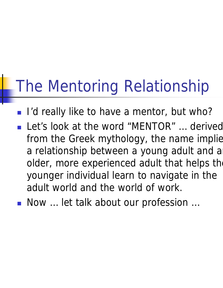- I'd really like to have a mentor, but who?
- Let's look at the word "MENTOR" ... derived from the Greek mythology, the name implie a relationship between a young adult and a older, more experienced adult that helps the younger individual learn to navigate in the adult world and the world of work.
- <sup>n</sup> Now … let talk about our profession …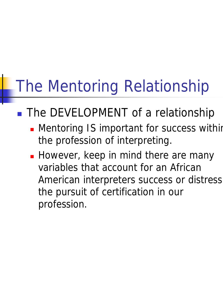#### **n** The DEVELOPMENT of a relationship

- **n** Mentoring IS important for success within the profession of interpreting.
- **However, keep in mind there are many** variables that account for an African American interpreters success or distress the pursuit of certification in our profession.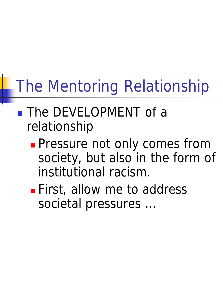- **n** The DEVELOPMENT of a relationship
	- **Pressure not only comes from** society, but also in the form of institutional racism.
	- **First, allow me to address** societal pressures …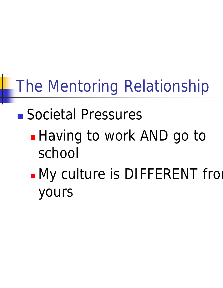### <sup>n</sup> Societal Pressures

- **Having to work AND go to** school
- **nMy culture is DIFFERENT from** yours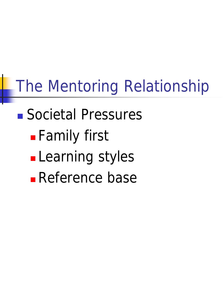### <sup>n</sup> Societal Pressures

- **Family first**
- **Learning styles**
- **Reference base**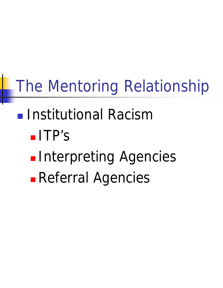### **n** Institutional Racism

- <sup>n</sup> ITP's
- **Interpreting Agencies**
- **Referral Agencies**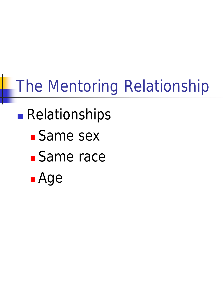### **Relationships**

- **Same sex**
- **Same race**
- <sup>n</sup> Age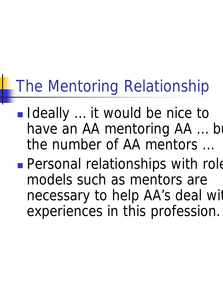- Ideally ... it would be nice to have an AA mentoring AA ... but the number of AA mentors …
- **Personal relationships with role** models such as mentors are necessary to help AA's deal with experiences in this profession.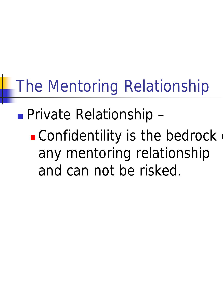### **Private Relationship -**

 $\blacksquare$  Confidentility is the bedrock any mentoring relationship and can not be risked.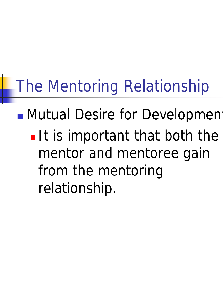**n** Mutual Desire for Development

 $\blacksquare$  It is important that both the mentor and mentoree gain from the mentoring relationship.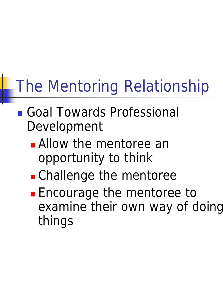- <sup>n</sup> Goal Towards Professional Development
	- **n** Allow the mentoree an opportunity to think
	- **n** Challenge the mentoree
	- **Encourage the mentoree to** examine their own way of doing things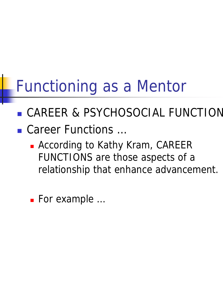### Functioning as a Mentor

- **n** CAREER & PSYCHOSOCIAL FUNCTION
- Career Functions ...
	- **n** According to Kathy Kram, CAREER FUNCTIONS are those aspects of a relationship that enhance advancement.
	- For example ...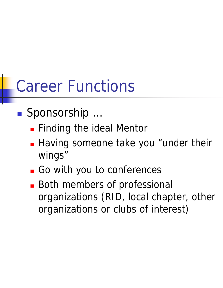### Career Functions

- Sponsorship …
	- **Finding the ideal Mentor**
	- **Having someone take you "under their** wings"
	- **n** Go with you to conferences
	- **Both members of professional** organizations (RID, local chapter, other organizations or clubs of interest)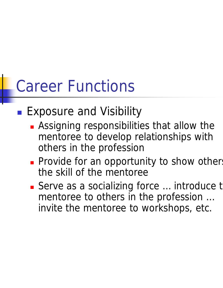### Career Functions

#### **Exposure and Visibility**

- **Assigning responsibilities that allow the** mentoree to develop relationships with others in the profession
- **Provide for an opportunity to show others** the skill of the mentoree
- Serve as a socializing force ... introduce t mentoree to others in the profession … invite the mentoree to workshops, etc.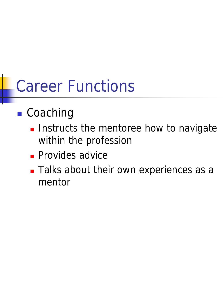### Career Functions

#### **n** Coaching

- **n** Instructs the mentoree how to navigate within the profession
- **Provides advice**
- **n** Talks about their own experiences as a mentor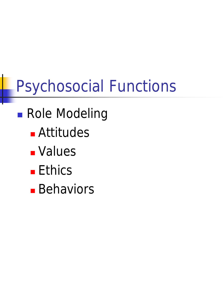- **n** Role Modeling
	- **n** Attitudes
	- **n** Values
	- Ethics
	- **Behaviors**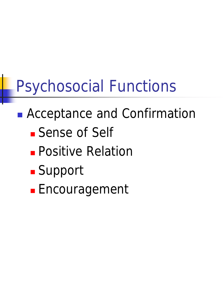- **n Acceptance and Confirmation n** Sense of Self
	- **n** Positive Relation
	-
	- **n** Support
	- **Encouragement**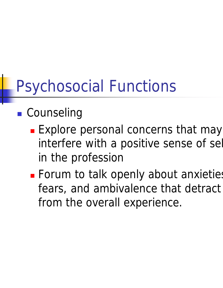#### **n** Counseling

- **Explore personal concerns that may** interfere with a positive sense of sel in the profession
- **Example 1 Forum to talk openly about anxieties** fears, and ambivalence that detract from the overall experience.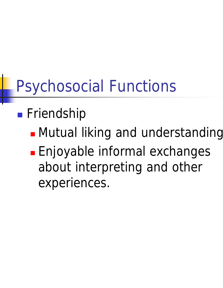#### **n** Friendship

- **n** Mutual liking and understanding
- **Enjoyable informal exchanges** about interpreting and other experiences.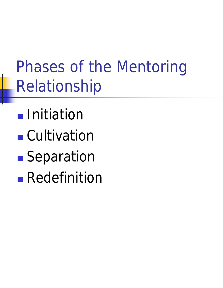- **n** Initiation
- **n** Cultivation
- **n** Separation
- **Redefinition**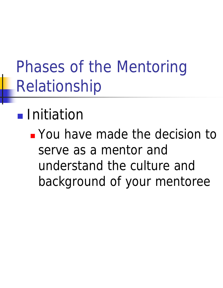#### **n** Initiation

<sup>n</sup> You have made the decision to serve as a mentor and understand the culture and background of your mentoree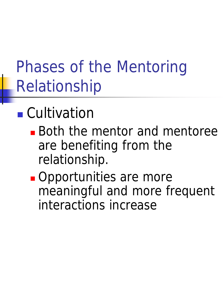### **n** Cultivation

- **Both the mentor and mentoree** are benefiting from the relationship.
- **n** Opportunities are more meaningful and more frequent interactions increase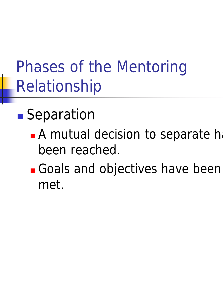### **n** Separation

- **n A mutual decision to separate has** been reached.
- <sup>n</sup> Goals and objectives have been met.